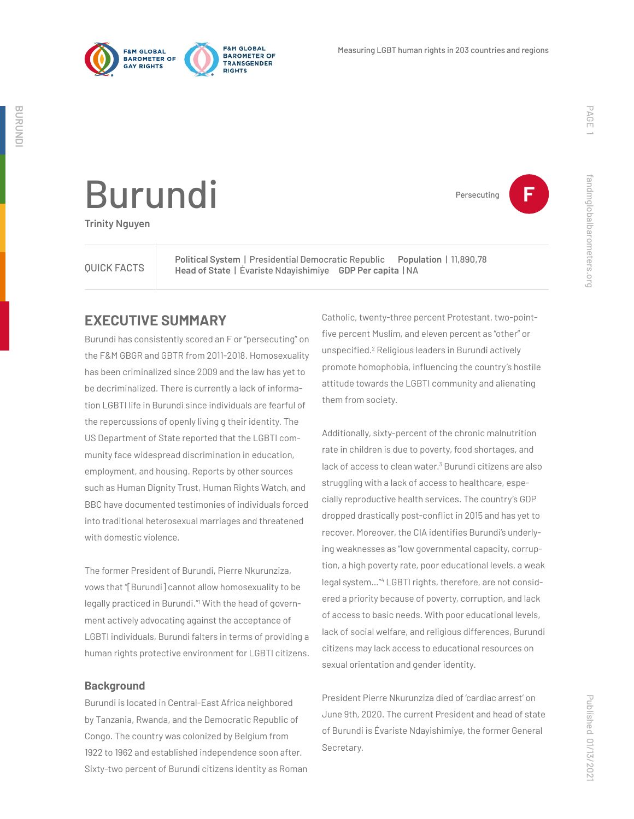



Persecuting **F**

**BURUNDI**

BURUND

# Burundi

**Trinity Nguyen**

**Political System | Presidential Democratic Republic Population | 11,890,78**<br>OUICK FACTS **Property Administration REP Por capita LNA Head of State** | Évariste Ndayishimiye **GDP Per capita** | NA

# **EXECUTIVE SUMMARY**

Burundi has consistently scored an F or "persecuting" on the F&M GBGR and GBTR from 2011-2018. Homosexuality has been criminalized since 2009 and the law has yet to be decriminalized. There is currently a lack of information LGBTI life in Burundi since individuals are fearful of the repercussions of openly living g their identity. The US Department of State reported that the LGBTI community face widespread discrimination in education, employment, and housing. Reports by other sources such as Human Dignity Trust, Human Rights Watch, and BBC have documented testimonies of individuals forced into traditional heterosexual marriages and threatened with domestic violence.

The former President of Burundi, Pierre Nkurunziza, vows that "[Burundi] cannot allow homosexuality to be legally practiced in Burundi."<sup>1</sup> With the head of government actively advocating against the acceptance of LGBTI individuals, Burundi falters in terms of providing a human rights protective environment for LGBTI citizens.

#### **Background**

Burundi is located in Central-East Africa neighbored by Tanzania, Rwanda, and the Democratic Republic of Congo. The country was colonized by Belgium from 1922 to 1962 and established independence soon after. Sixty-two percent of Burundi citizens identity as Roman

Catholic, twenty-three percent Protestant, two-pointfive percent Muslim, and eleven percent as "other" or unspecified.<sup>2</sup> Religious leaders in Burundi actively promote homophobia, influencing the country's hostile attitude towards the LGBTI community and alienating them from society.

Additionally, sixty-percent of the chronic malnutrition rate in children is due to poverty, food shortages, and lack of access to clean water.<sup>3</sup> Burundi citizens are also struggling with a lack of access to healthcare, especially reproductive health services. The country's GDP dropped drastically post-conflict in 2015 and has yet to recover. Moreover, the CIA identifies Burundi's underlying weaknesses as "low governmental capacity, corruption, a high poverty rate, poor educational levels, a weak legal system…"4 LGBTI rights, therefore, are not considered a priority because of poverty, corruption, and lack of access to basic needs. With poor educational levels, lack of social welfare, and religious differences, Burundi citizens may lack access to educational resources on sexual orientation and gender identity.

President Pierre Nkurunziza died of 'cardiac arrest' on June 9th, 2020. The current President and head of state of Burundi is Évariste Ndayishimiye, the former General Secretary.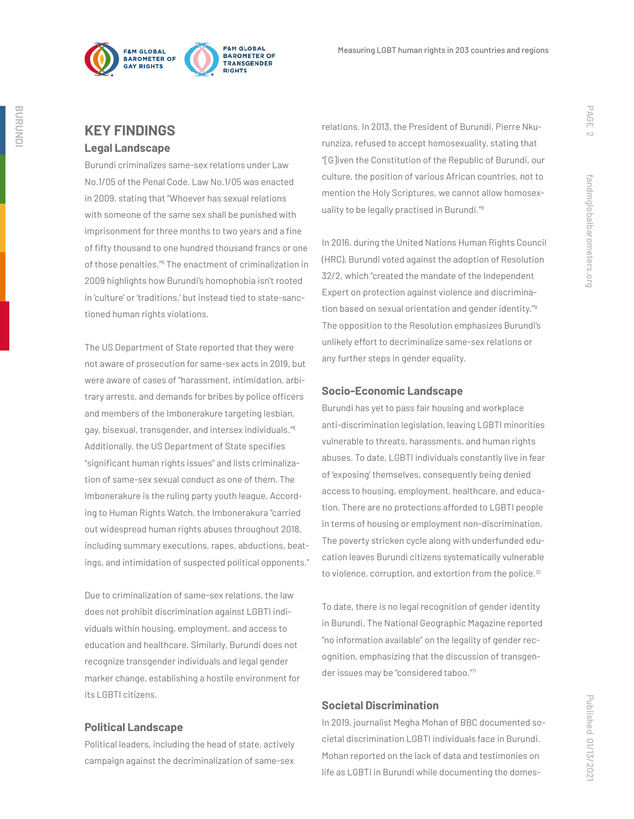

## **KEY FINDINGS Legal Landscape**

Burundi criminalizes same-sex relations under Law No.1/05 of the Penal Code. Law No.1/05 was enacted in 2009, stating that "Whoever has sexual relations with someone of the same sex shall be punished with imprisonment for three months to two years and a fine of fifty thousand to one hundred thousand francs or one of those penalties."<sup>5</sup> The enactment of criminalization in 2009 highlights how Burundi's homophobia isn't rooted in 'culture' or 'traditions,' but instead tied to state-sanctioned human rights violations.

The US Department of State reported that they were not aware of prosecution for same-sex acts in 2019, but were aware of cases of "harassment, intimidation, arbitrary arrests, and demands for bribes by police officers and members of the Imbonerakure targeting lesbian, gay, bisexual, transgender, and intersex individuals."6 Additionally, the US Department of State specifies "significant human rights issues" and lists criminalization of same-sex sexual conduct as one of them. The Imbonerakure is the ruling party youth league. According to Human Rights Watch, the Imbonerakura "carried out widespread human rights abuses throughout 2018, including summary executions, rapes, abductions, beatings, and intimidation of suspected political opponents."

Due to criminalization of same-sex relations, the law does not prohibit discrimination against LGBTI individuals within housing, employment, and access to education and healthcare. Similarly, Burundi does not recognize transgender individuals and legal gender marker change, establishing a hostile environment for its LGBTI citizens.

#### **Political Landscape**

Political leaders, including the head of state, actively campaign against the decriminalization of same-sex

relations. In 2013, the President of Burundi, Pierre Nkurunziza, refused to accept homosexuality, stating that "[G]iven the Constitution of the Republic of Burundi, our culture, the position of various African countries, not to mention the Holy Scriptures, we cannot allow homosexuality to be legally practised in Burundi."8

In 2016, during the United Nations Human Rights Council (HRC), Burundi voted against the adoption of Resolution 32/2, which "created the mandate of the Independent Expert on protection against violence and discrimination based on sexual orientation and gender identity."9 The opposition to the Resolution emphasizes Burundi's unlikely effort to decriminalize same-sex relations or any further steps in gender equality.

#### **Socio-Economic Landscape**

Burundi has yet to pass fair housing and workplace anti-discrimination legislation, leaving LGBTI minorities vulnerable to threats, harassments, and human rights abuses. To date, LGBTI individuals constantly live in fear of 'exposing' themselves, consequently being denied access to housing, employment, healthcare, and education. There are no protections afforded to LGBTI people in terms of housing or employment non-discrimination. The poverty stricken cycle along with underfunded education leaves Burundi citizens systematically vulnerable to violence, corruption, and extortion from the police.<sup>10</sup>

To date, there is no legal recognition of gender identity in Burundi. The National Geographic Magazine reported "no information available" on the legality of gender recognition, emphasizing that the discussion of transgender issues may be "considered taboo."11

### **Societal Discrimination**

In 2019, journalist Megha Mohan of BBC documented societal discrimination LGBTI individuals face in Burundi. Mohan reported on the lack of data and testimonies on life as LGBTI in Burundi while documenting the domes-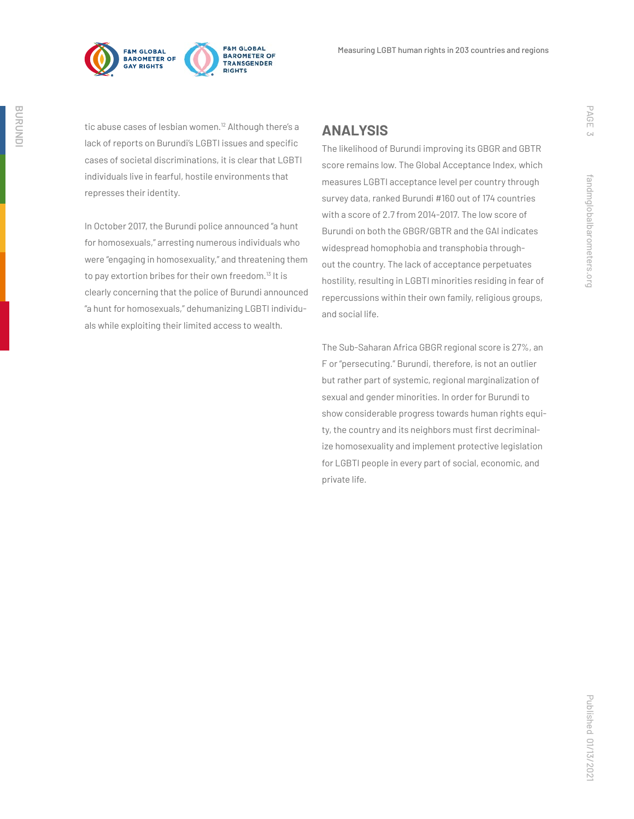

tic abuse cases of lesbian women.<sup>12</sup> Although there's a lack of reports on Burundi's LGBTI issues and specific cases of societal discriminations, it is clear that LGBTI individuals live in fearful, hostile environments that represses their identity.

In October 2017, the Burundi police announced "a hunt for homosexuals," arresting numerous individuals who were "engaging in homosexuality," and threatening them to pay extortion bribes for their own freedom.<sup>13</sup> It is clearly concerning that the police of Burundi announced "a hunt for homosexuals," dehumanizing LGBTI individuals while exploiting their limited access to wealth.

# **ANALYSIS**

The likelihood of Burundi improving its GBGR and GBTR score remains low. The Global Acceptance Index, which measures LGBTI acceptance level per country through survey data, ranked Burundi #160 out of 174 countries with a score of 2.7 from 2014-2017. The low score of Burundi on both the GBGR/GBTR and the GAI indicates widespread homophobia and transphobia throughout the country. The lack of acceptance perpetuates hostility, resulting in LGBTI minorities residing in fear of repercussions within their own family, religious groups, and social life.

The Sub-Saharan Africa GBGR regional score is 27%, an F or "persecuting." Burundi, therefore, is not an outlier but rather part of systemic, regional marginalization of sexual and gender minorities. In order for Burundi to show considerable progress towards human rights equity, the country and its neighbors must first decriminalize homosexuality and implement protective legislation for LGBTI people in every part of social, economic, and private life.

PAGE 3